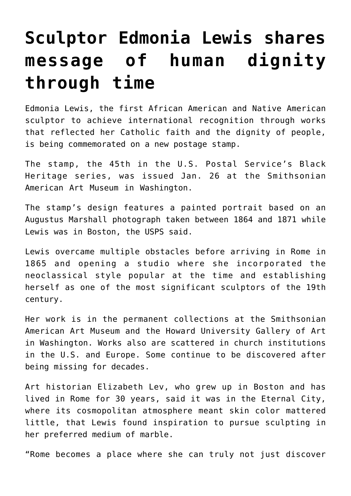## **[Sculptor Edmonia Lewis shares](https://www.osvnews.com/amp/2022/01/26/sculptor-edmonia-lewis-shares-message-of-human-dignity-through-time/) [message of human dignity](https://www.osvnews.com/amp/2022/01/26/sculptor-edmonia-lewis-shares-message-of-human-dignity-through-time/) [through time](https://www.osvnews.com/amp/2022/01/26/sculptor-edmonia-lewis-shares-message-of-human-dignity-through-time/)**

Edmonia Lewis, the first African American and Native American sculptor to achieve international recognition through works that reflected her Catholic faith and the dignity of people, is being commemorated on a new postage stamp.

The stamp, the 45th in the U.S. Postal Service's Black Heritage series, was issued Jan. 26 at the Smithsonian American Art Museum in Washington.

The stamp's design features a painted portrait based on an Augustus Marshall photograph taken between 1864 and 1871 while Lewis was in Boston, the USPS said.

Lewis overcame multiple obstacles before arriving in Rome in 1865 and opening a studio where she incorporated the neoclassical style popular at the time and establishing herself as one of the most significant sculptors of the 19th century.

Her work is in the permanent collections at the Smithsonian American Art Museum and the Howard University Gallery of Art in Washington. Works also are scattered in church institutions in the U.S. and Europe. Some continue to be discovered after being missing for decades.

Art historian Elizabeth Lev, who grew up in Boston and has lived in Rome for 30 years, said it was in the Eternal City, where its cosmopolitan atmosphere meant skin color mattered little, that Lewis found inspiration to pursue sculpting in her preferred medium of marble.

"Rome becomes a place where she can truly not just discover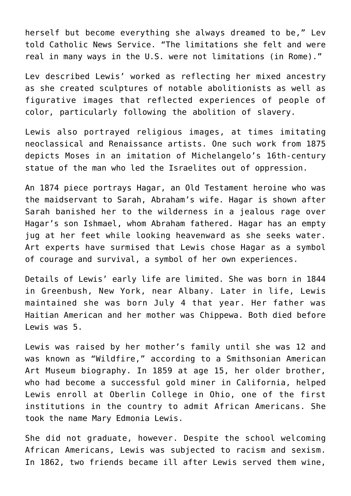herself but become everything she always dreamed to be," Lev told Catholic News Service. "The limitations she felt and were real in many ways in the U.S. were not limitations (in Rome)."

Lev described Lewis' worked as reflecting her mixed ancestry as she created sculptures of notable abolitionists as well as figurative images that reflected experiences of people of color, particularly following the abolition of slavery.

Lewis also portrayed religious images, at times imitating neoclassical and Renaissance artists. One such work from 1875 depicts Moses in an imitation of Michelangelo's 16th-century statue of the man who led the Israelites out of oppression.

An 1874 piece portrays Hagar, an Old Testament heroine who was the maidservant to Sarah, Abraham's wife. Hagar is shown after Sarah banished her to the wilderness in a jealous rage over Hagar's son Ishmael, whom Abraham fathered. Hagar has an empty jug at her feet while looking heavenward as she seeks water. Art experts have surmised that Lewis chose Hagar as a symbol of courage and survival, a symbol of her own experiences.

Details of Lewis' early life are limited. She was born in 1844 in Greenbush, New York, near Albany. Later in life, Lewis maintained she was born July 4 that year. Her father was Haitian American and her mother was Chippewa. Both died before Lewis was 5.

Lewis was raised by her mother's family until she was 12 and was known as "Wildfire," according to a Smithsonian American Art Museum biography. In 1859 at age 15, her older brother, who had become a successful gold miner in California, helped Lewis enroll at Oberlin College in Ohio, one of the first institutions in the country to admit African Americans. She took the name Mary Edmonia Lewis.

She did not graduate, however. Despite the school welcoming African Americans, Lewis was subjected to racism and sexism. In 1862, two friends became ill after Lewis served them wine,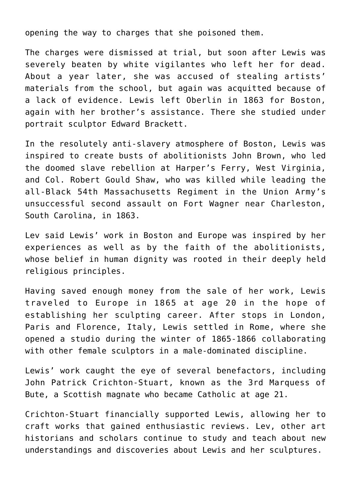opening the way to charges that she poisoned them.

The charges were dismissed at trial, but soon after Lewis was severely beaten by white vigilantes who left her for dead. About a year later, she was accused of stealing artists' materials from the school, but again was acquitted because of a lack of evidence. Lewis left Oberlin in 1863 for Boston, again with her brother's assistance. There she studied under portrait sculptor Edward Brackett.

In the resolutely anti-slavery atmosphere of Boston, Lewis was inspired to create busts of abolitionists John Brown, who led the doomed slave rebellion at Harper's Ferry, West Virginia, and Col. Robert Gould Shaw, who was killed while leading the all-Black 54th Massachusetts Regiment in the Union Army's unsuccessful second assault on Fort Wagner near Charleston, South Carolina, in 1863.

Lev said Lewis' work in Boston and Europe was inspired by her experiences as well as by the faith of the abolitionists, whose belief in human dignity was rooted in their deeply held religious principles.

Having saved enough money from the sale of her work, Lewis traveled to Europe in 1865 at age 20 in the hope of establishing her sculpting career. After stops in London, Paris and Florence, Italy, Lewis settled in Rome, where she opened a studio during the winter of 1865-1866 collaborating with other female sculptors in a male-dominated discipline.

Lewis' work caught the eye of several benefactors, including John Patrick Crichton-Stuart, known as the 3rd Marquess of Bute, a Scottish magnate who became Catholic at age 21.

Crichton-Stuart financially supported Lewis, allowing her to craft works that gained enthusiastic reviews. Lev, other art historians and scholars continue to study and teach about new understandings and discoveries about Lewis and her sculptures.